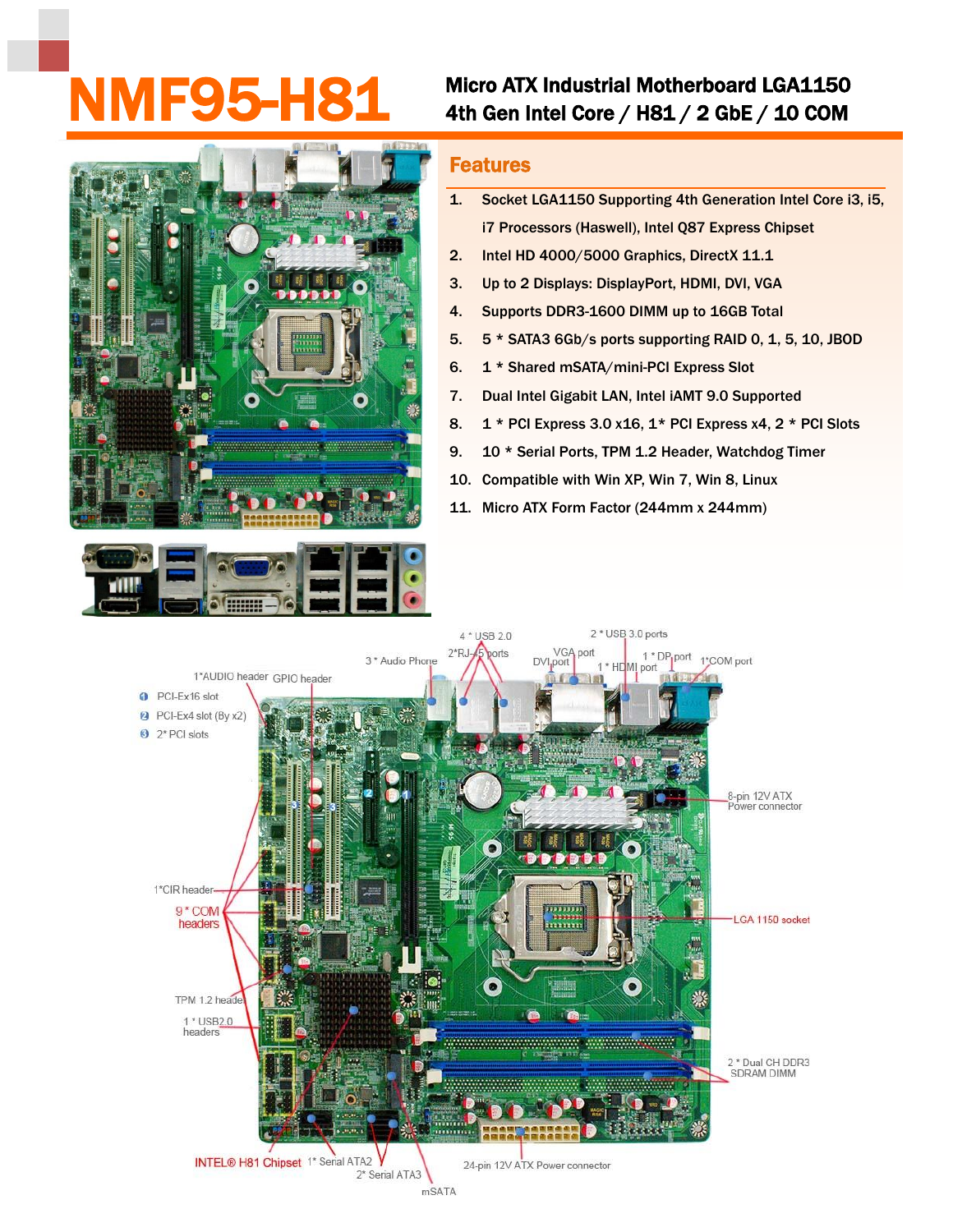## MMF95-H81 Micro ATX Industrial Motherboard LGA1150<br>4th Gen Intel Core / H81 / 2 GbE / 10 COM



## Features

- 1. Socket LGA1150 Supporting 4th Generation Intel Core i3, i5, i7 Processors (Haswell), Intel Q87 Express Chipset
- 2. Intel HD 4000/5000 Graphics, DirectX 11.1
- 3. Up to 2 Displays: DisplayPort, HDMI, DVI, VGA
- 4. Supports DDR3-1600 DIMM up to 16GB Total
- 5. 5 \* SATA3 6Gb/s ports supporting RAID 0, 1, 5, 10, JBOD
- 6. 1 \* Shared mSATA/mini-PCI Express Slot
- 7. Dual Intel Gigabit LAN, Intel iAMT 9.0 Supported
- 8.  $1 * PCI Express 3.0 x16, 1 * PCI Express x4, 2 * PCI Slots$
- 9. 10 \* Serial Ports, TPM 1.2 Header, Watchdog Timer
- 10. Compatible with Win XP, Win 7, Win 8, Linux
- 11. Micro ATX Form Factor (244mm x 244mm)